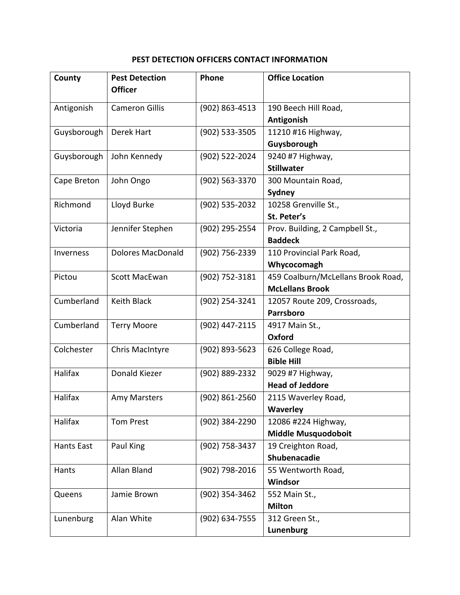## **PEST DETECTION OFFICERS CONTACT INFORMATION**

| County            | <b>Pest Detection</b>    | Phone              | <b>Office Location</b>             |
|-------------------|--------------------------|--------------------|------------------------------------|
|                   | <b>Officer</b>           |                    |                                    |
| Antigonish        | <b>Cameron Gillis</b>    | $(902) 863 - 4513$ | 190 Beech Hill Road,               |
|                   |                          |                    | Antigonish                         |
| Guysborough       | Derek Hart               | (902) 533-3505     | 11210 #16 Highway,                 |
|                   |                          |                    | Guysborough                        |
| Guysborough       | John Kennedy             | (902) 522-2024     | 9240 #7 Highway,                   |
|                   |                          |                    | <b>Stillwater</b>                  |
| Cape Breton       | John Ongo                | (902) 563-3370     | 300 Mountain Road,                 |
|                   |                          |                    | Sydney                             |
| Richmond          | Lloyd Burke              | (902) 535-2032     | 10258 Grenville St.,               |
|                   |                          |                    | St. Peter's                        |
| Victoria          | Jennifer Stephen         | (902) 295-2554     | Prov. Building, 2 Campbell St.,    |
|                   |                          |                    | <b>Baddeck</b>                     |
| Inverness         | <b>Dolores MacDonald</b> | (902) 756-2339     | 110 Provincial Park Road,          |
|                   |                          |                    | Whycocomagh                        |
| Pictou            | Scott MacEwan            | (902) 752-3181     | 459 Coalburn/McLellans Brook Road, |
|                   |                          |                    | <b>McLellans Brook</b>             |
| Cumberland        | <b>Keith Black</b>       | (902) 254-3241     | 12057 Route 209, Crossroads,       |
|                   |                          |                    | Parrsboro                          |
| Cumberland        | <b>Terry Moore</b>       | (902) 447-2115     | 4917 Main St.,                     |
|                   |                          |                    | Oxford                             |
| Colchester        | Chris MacIntyre          | (902) 893-5623     | 626 College Road,                  |
|                   |                          |                    | <b>Bible Hill</b>                  |
| Halifax           | Donald Kiezer            | (902) 889-2332     | 9029 #7 Highway,                   |
|                   |                          |                    | <b>Head of Jeddore</b>             |
| Halifax           | Amy Marsters             | (902) 861-2560     | 2115 Waverley Road,                |
|                   |                          |                    | Waverley                           |
| Halifax           | <b>Tom Prest</b>         | (902) 384-2290     | 12086 #224 Highway,                |
|                   |                          |                    | <b>Middle Musquodoboit</b>         |
| <b>Hants East</b> | Paul King                | (902) 758-3437     | 19 Creighton Road,                 |
|                   |                          |                    | Shubenacadie                       |
| Hants             | Allan Bland              | (902) 798-2016     | 55 Wentworth Road,                 |
|                   |                          |                    | Windsor                            |
| Queens            | Jamie Brown              | (902) 354-3462     | 552 Main St.,                      |
|                   |                          |                    | <b>Milton</b>                      |
| Lunenburg         | Alan White               | (902) 634-7555     | 312 Green St.,                     |
|                   |                          |                    | Lunenburg                          |